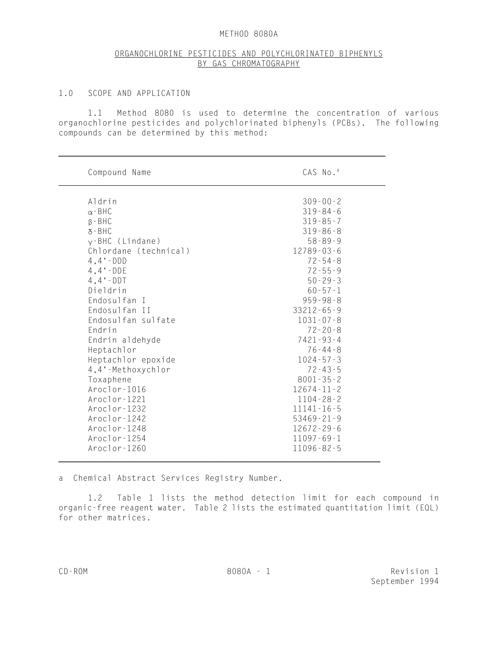### METHOD 8080A

# ORGANOCHLORINE PESTICIDES AND POLYCHLORINATED BIPHENYLS BY GAS CHROMATOGRAPHY

### 1.0 SCOPE AND APPLICATION

1.1 Method 8080 is used to determine the concentration of various organochlorine pesticides and polychlorinated biphenyls (PCBs). The following compounds can be determined by this method:

| Compound Name         | CAS No. <sup>a</sup> |
|-----------------------|----------------------|
| Aldrin                | $309 - 00 - 2$       |
| $\alpha$ - BHC        | $319 - 84 - 6$       |
| $\beta$ - BHC         | $319 - 85 - 7$       |
| $5 - BHC$             | $319 - 86 - 8$       |
| $v$ -BHC (Lindane)    | $58 - 89 - 9$        |
| Chlordane (technical) | $12789 - 03 - 6$     |
| $4.4 - DDD$           | $72 - 54 - 8$        |
| $4, 4 - DDE$          | $72 - 55 - 9$        |
| $4.4 - DDT$           | $50 - 29 - 3$        |
| Dieldrin              | $60 - 57 - 1$        |
| Endosulfan I          | $959 - 98 - 8$       |
| Endosulfan II         | $33212 - 65 - 9$     |
| Endosulfan sulfate    | $1031 - 07 - 8$      |
| Endrin                | $72 - 20 - 8$        |
| Endrin aldehyde       | $7421 - 93 - 4$      |
| Heptachlor            | $76 - 44 - 8$        |
| Heptachlor epoxide    | $1024 - 57 - 3$      |
| 4,4'-Methoxychlor     | $72 - 43 - 5$        |
| Toxaphene             | $8001 - 35 - 2$      |
| Aroclor-1016          | $12674 - 11 - 2$     |
| Aroclor-1221          | $1104 - 28 - 2$      |
| Aroclor-1232          | $11141 - 16 - 5$     |
| Aroclor-1242          | $53469 - 21 - 9$     |
| Aroclor-1248          | $12672 - 29 - 6$     |
| Aroclor-1254          | $11097 - 69 - 1$     |
| Aroclor-1260          | $11096 - 82 - 5$     |

\_\_\_\_\_\_\_\_\_\_\_\_\_\_\_\_\_\_\_\_\_\_\_\_\_\_\_\_\_\_\_\_\_\_\_\_\_\_\_\_\_\_\_\_\_\_\_\_\_\_\_\_\_\_\_\_\_\_\_\_\_\_\_\_\_\_\_

a Chemical Abstract Services Registry Number.

1.2 Table 1 lists the method detection limit for each compound in organic-free reagent water. Table 2 lists the estimated quantitation limit (EQL) for other matrices.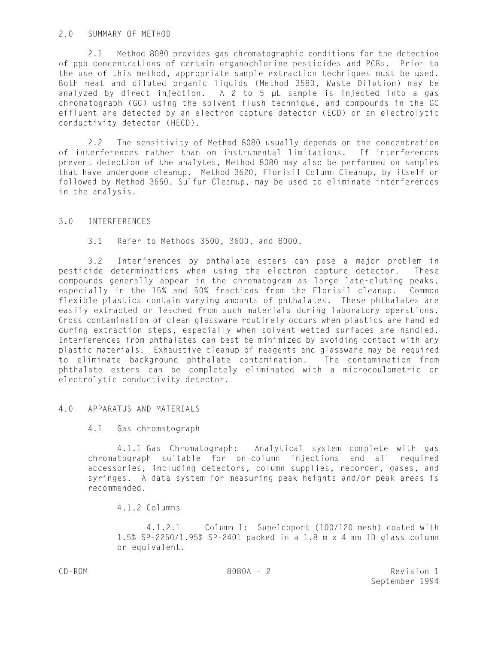## 2.0 SUMMARY OF METHOD

2.1 Method 8080 provides gas chromatographic conditions for the detection of ppb concentrations of certain organochlorine pesticides and PCBs. Prior to the use of this method, appropriate sample extraction techniques must be used. Both neat and diluted organic liquids (Method 3580, Waste Dilution) may be analyzed by direct injection. A 2 to 5  $\mu$ L sample is injected into a gas chromatograph (GC) using the solvent flush technique, and compounds in the GC effluent are detected by an electron capture detector (ECD) or an electrolytic conductivity detector (HECD).

2.2 The sensitivity of Method 8080 usually depends on the concentration of interferences rather than on instrumental limitations. If interferences prevent detection of the analytes, Method 8080 may also be performed on samples that have undergone cleanup. Method 3620, Florisil Column Cleanup, by itself or followed by Method 3660, Sulfur Cleanup, may be used to eliminate interferences in the analysis.

# 3.0 INTERFERENCES

3.1 Refer to Methods 3500, 3600, and 8000.

3.2 Interferences by phthalate esters can pose a major problem in pesticide determinations when using the electron capture detector. These compounds generally appear in the chromatogram as large late-eluting peaks, especially in the 15% and 50% fractions from the Florisil cleanup. Common flexible plastics contain varying amounts of phthalates. These phthalates are easily extracted or leached from such materials during laboratory operations. Cross contamination of clean glassware routinely occurs when plastics are handled during extraction steps, especially when solvent-wetted surfaces are handled. Interferences from phthalates can best be minimized by avoiding contact with any plastic materials. Exhaustive cleanup of reagents and glassware may be required to eliminate background phthalate contamination. The contamination from phthalate esters can be completely eliminated with a microcoulometric or electrolytic conductivity detector.

# 4.0 APPARATUS AND MATERIALS

### 4.1 Gas chromatograph

4.1.1 Gas Chromatograph: Analytical system complete with gas chromatograph suitable for on-column injections and all required accessories, including detectors, column supplies, recorder, gases, and syringes. A data system for measuring peak heights and/or peak areas is recommended.

4.1.2 Columns

4.1.2.1 Column 1: Supelcoport (100/120 mesh) coated with 1.5% SP-2250/1.95% SP-2401 packed in a 1.8 m x 4 mm ID glass column or equivalent.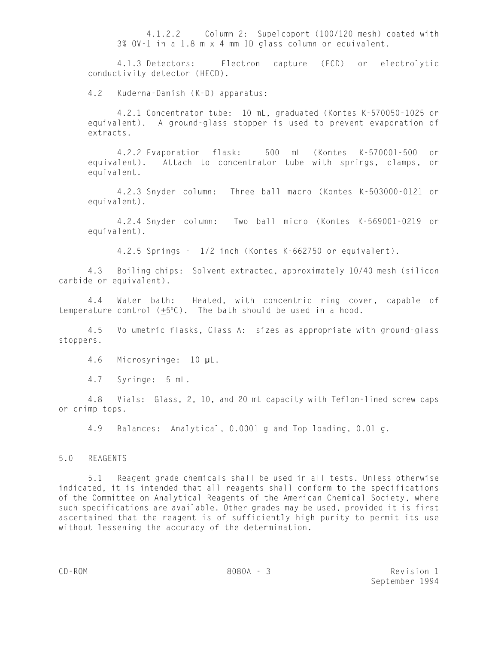4.1.2.2 Column 2: Supelcoport (100/120 mesh) coated with 3% OV-1 in a 1.8 m x 4 mm ID glass column or equivalent.

4.1.3 Detectors: Electron capture (ECD) or electrolytic conductivity detector (HECD).

4.2 Kuderna-Danish (K-D) apparatus:

4.2.1 Concentrator tube: 10 mL, graduated (Kontes K-570050-1025 or equivalent). A ground-glass stopper is used to prevent evaporation of extracts.

4.2.2 Evaporation flask: 500 mL (Kontes K-570001-500 or equivalent). Attach to concentrator tube with springs, clamps, or equivalent.

4.2.3 Snyder column: Three ball macro (Kontes K-503000-0121 or equivalent).

4.2.4 Snyder column: Two ball micro (Kontes K-569001-0219 or equivalent).

4.2.5 Springs - 1/2 inch (Kontes K-662750 or equivalent).

4.3 Boiling chips: Solvent extracted, approximately 10/40 mesh (silicon carbide or equivalent).

4.4 Water bath: Heated, with concentric ring cover, capable of temperature control  $(\pm 5^{\circ}C)$ . The bath should be used in a hood.

4.5 Volumetric flasks, Class A: sizes as appropriate with ground-glass stoppers.

4.6 Microsyringe: 10 µL.

4.7 Syringe: 5 mL.

4.8 Vials: Glass, 2, 10, and 20 mL capacity with Teflon-lined screw caps or crimp tops.

4.9 Balances: Analytical, 0.0001 g and Top loading, 0.01 g.

## 5.0 REAGENTS

5.1 Reagent grade chemicals shall be used in all tests. Unless otherwise indicated, it is intended that all reagents shall conform to the specifications of the Committee on Analytical Reagents of the American Chemical Society, where such specifications are available. Other grades may be used, provided it is first ascertained that the reagent is of sufficiently high purity to permit its use without lessening the accuracy of the determination.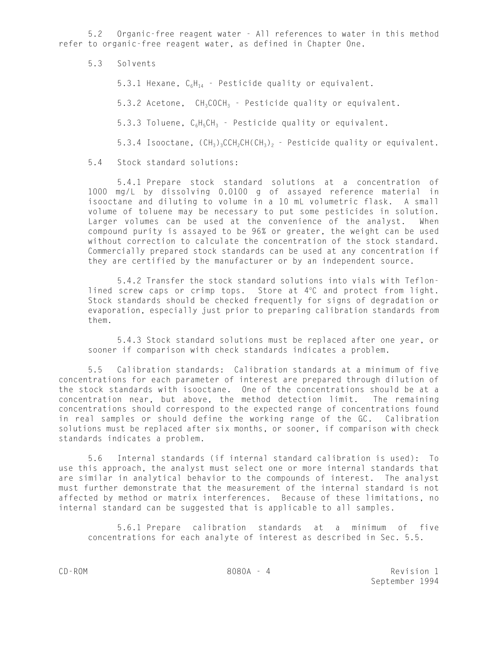5.2 Organic-free reagent water - All references to water in this method refer to organic-free reagent water, as defined in Chapter One.

5.3 Solvents

5.3.1 Hexane,  $C_6H_{14}$  - Pesticide quality or equivalent.

5.3.2 Acetone, CH<sub>3</sub>COCH<sub>3</sub> - Pesticide quality or equivalent.

5.3.3 Toluene,  $C_6H_6CH_3$  - Pesticide quality or equivalent.

5.3.4 Isooctane,  $(CH_3)_3CCH_2CH$ ( $CH_3$ )<sub>2</sub> - Pesticide quality or equivalent.

5.4 Stock standard solutions:

5.4.1 Prepare stock standard solutions at a concentration of 1000 mg/L by dissolving 0.0100 g of assayed reference material in isooctane and diluting to volume in a 10 mL volumetric flask. A small volume of toluene may be necessary to put some pesticides in solution. Larger volumes can be used at the convenience of the analyst. When compound purity is assayed to be 96% or greater, the weight can be used without correction to calculate the concentration of the stock standard. Commercially prepared stock standards can be used at any concentration if they are certified by the manufacturer or by an independent source.

5.4.2 Transfer the stock standard solutions into vials with Teflonlined screw caps or crimp tops. Store at  $4^{\circ}$ C and protect from light. Stock standards should be checked frequently for signs of degradation or evaporation, especially just prior to preparing calibration standards from them.

5.4.3 Stock standard solutions must be replaced after one year, or sooner if comparison with check standards indicates a problem.

5.5 Calibration standards: Calibration standards at a minimum of five concentrations for each parameter of interest are prepared through dilution of the stock standards with isooctane. One of the concentrations should be at a concentration near, but above, the method detection limit. The remaining concentrations should correspond to the expected range of concentrations found in real samples or should define the working range of the GC. Calibration solutions must be replaced after six months, or sooner, if comparison with check standards indicates a problem.

5.6 Internal standards (if internal standard calibration is used): To use this approach, the analyst must select one or more internal standards that are similar in analytical behavior to the compounds of interest. The analyst must further demonstrate that the measurement of the internal standard is not affected by method or matrix interferences. Because of these limitations, no internal standard can be suggested that is applicable to all samples.

5.6.1 Prepare calibration standards at a minimum of five concentrations for each analyte of interest as described in Sec. 5.5.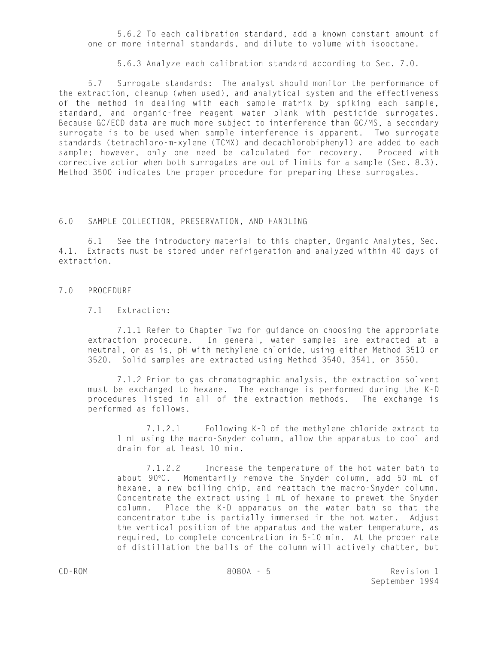5.6.2 To each calibration standard, add a known constant amount of one or more internal standards, and dilute to volume with isooctane.

5.6.3 Analyze each calibration standard according to Sec. 7.0.

5.7 Surrogate standards: The analyst should monitor the performance of the extraction, cleanup (when used), and analytical system and the effectiveness of the method in dealing with each sample matrix by spiking each sample, standard, and organic-free reagent water blank with pesticide surrogates. Because GC/ECD data are much more subject to interference than GC/MS, a secondary surrogate is to be used when sample interference is apparent. Two surrogate standards (tetrachloro-m-xylene (TCMX) and decachlorobiphenyl) are added to each sample; however, only one need be calculated for recovery. Proceed with corrective action when both surrogates are out of limits for a sample (Sec. 8.3). Method 3500 indicates the proper procedure for preparing these surrogates.

## 6.0 SAMPLE COLLECTION, PRESERVATION, AND HANDLING

6.1 See the introductory material to this chapter, Organic Analytes, Sec. 4.1. Extracts must be stored under refrigeration and analyzed within 40 days of extraction.

### 7.0 PROCEDURE

## 7.1 Extraction:

7.1.1 Refer to Chapter Two for guidance on choosing the appropriate extraction procedure. In general, water samples are extracted at a neutral, or as is, pH with methylene chloride, using either Method 3510 or 3520. Solid samples are extracted using Method 3540, 3541, or 3550.

7.1.2 Prior to gas chromatographic analysis, the extraction solvent must be exchanged to hexane. The exchange is performed during the K-D procedures listed in all of the extraction methods. The exchange is performed as follows.

7.1.2.1 Following K-D of the methylene chloride extract to 1 mL using the macro-Snyder column, allow the apparatus to cool and drain for at least 10 min.

7.1.2.2 Increase the temperature of the hot water bath to about 90°C. Momentarily remove the Snyder column, add 50 mL of hexane, a new boiling chip, and reattach the macro-Snyder column. Concentrate the extract using 1 mL of hexane to prewet the Snyder column. Place the K-D apparatus on the water bath so that the concentrator tube is partially immersed in the hot water. Adjust the vertical position of the apparatus and the water temperature, as required, to complete concentration in 5-10 min. At the proper rate of distillation the balls of the column will actively chatter, but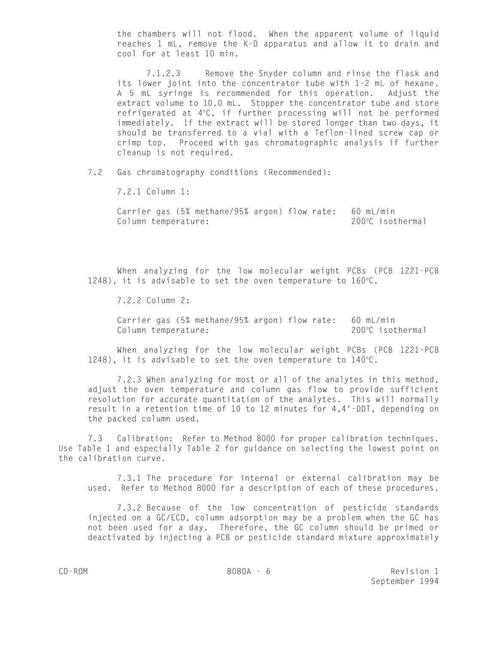the chambers will not flood. When the apparent volume of liquid reaches 1 mL, remove the K-D apparatus and allow it to drain and cool for at least 10 min.

7.1.2.3 Remove the Snyder column and rinse the flask and its lower joint into the concentrator tube with 1-2 mL of hexane. A 5 mL syringe is recommended for this operation. Adjust the extract volume to 10.0 mL. Stopper the concentrator tube and store refrigerated at 4°C, if further processing will not be performed immediately. If the extract will be stored longer than two days, it should be transferred to a vial with a Teflon-lined screw cap or crimp top. Proceed with gas chromatographic analysis if further cleanup is not required.

7.2 Gas chromatography conditions (Recommended):

7.2.1 Column 1:

Carrier gas (5% methane/95% argon) flow rate: 60 mL/min Column temperature:  $200^{\circ}$ C isothermal

When analyzing for the low molecular weight PCBs (PCB 1221-PCB 1248), it is advisable to set the oven temperature to  $160^{\circ}$ C.

7.2.2 Column 2:

Carrier gas (5% methane/95% argon) flow rate: 60 mL/min Column temperature:  $200^{\circ}$ C isothermal

When analyzing for the low molecular weight PCBs (PCB 1221-PCB 1248), it is advisable to set the oven temperature to  $140^{\circ}$ C.

7.2.3 When analyzing for most or all of the analytes in this method, adjust the oven temperature and column gas flow to provide sufficient resolution for accurate quantitation of the analytes. This will normally result in a retention time of 10 to 12 minutes for 4,4'-DDT, depending on the packed column used.

7.3 Calibration: Refer to Method 8000 for proper calibration techniques. Use Table 1 and especially Table 2 for guidance on selecting the lowest point on the calibration curve.

7.3.1 The procedure for internal or external calibration may be used. Refer to Method 8000 for a description of each of these procedures.

7.3.2 Because of the low concentration of pesticide standards injected on a GC/ECD, column adsorption may be a problem when the GC has not been used for a day. Therefore, the GC column should be primed or deactivated by injecting a PCB or pesticide standard mixture approximately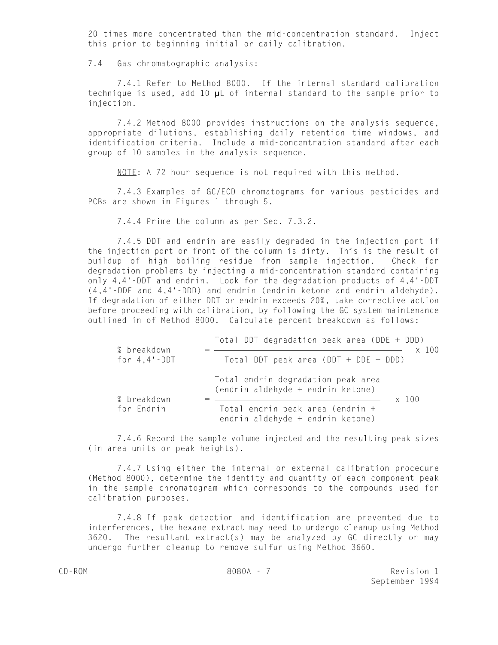20 times more concentrated than the mid-concentration standard. Inject this prior to beginning initial or daily calibration.

7.4 Gas chromatographic analysis:

7.4.1 Refer to Method 8000. If the internal standard calibration technique is used, add 10 µL of internal standard to the sample prior to injection.

7.4.2 Method 8000 provides instructions on the analysis sequence, appropriate dilutions, establishing daily retention time windows, and identification criteria. Include a mid-concentration standard after each group of 10 samples in the analysis sequence.

NOTE: A 72 hour sequence is not required with this method.

7.4.3 Examples of GC/ECD chromatograms for various pesticides and PCBs are shown in Figures 1 through 5.

7.4.4 Prime the column as per Sec. 7.3.2.

7.4.5 DDT and endrin are easily degraded in the injection port if the injection port or front of the column is dirty. This is the result of buildup of high boiling residue from sample injection. Check for degradation problems by injecting a mid-concentration standard containing only 4,4'-DDT and endrin. Look for the degradation products of 4,4'-DDT (4,4'-DDE and 4,4'-DDD) and endrin (endrin ketone and endrin aldehyde). If degradation of either DDT or endrin exceeds 20%, take corrective action before proceeding with calibration, by following the GC system maintenance outlined in of Method 8000. Calculate percent breakdown as follows:

| % breakdown<br>for $4,4$ $\cdot$ DDT | Total DDT degradation peak area (DDE + DDD)<br>$\times$ 100                      |
|--------------------------------------|----------------------------------------------------------------------------------|
|                                      | Total DDT peak area $(DDT + DDE + DDD)$                                          |
| % breakdown                          | Total endrin degradation peak area<br>(endrin aldehyde + endrin ketone)<br>x 100 |
| for Endrin                           | Total endrin peak area (endrin +<br>endrin aldehyde + endrin ketone)             |

7.4.6 Record the sample volume injected and the resulting peak sizes (in area units or peak heights).

7.4.7 Using either the internal or external calibration procedure (Method 8000), determine the identity and quantity of each component peak in the sample chromatogram which corresponds to the compounds used for calibration purposes.

7.4.8 If peak detection and identification are prevented due to interferences, the hexane extract may need to undergo cleanup using Method 3620. The resultant extract(s) may be analyzed by GC directly or may undergo further cleanup to remove sulfur using Method 3660.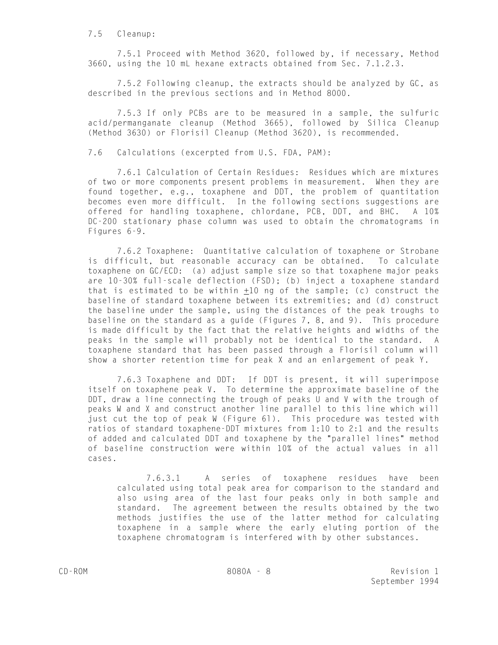7.5 Cleanup:

7.5.1 Proceed with Method 3620, followed by, if necessary, Method 3660, using the 10 mL hexane extracts obtained from Sec. 7.1.2.3.

7.5.2 Following cleanup, the extracts should be analyzed by GC, as described in the previous sections and in Method 8000.

7.5.3 If only PCBs are to be measured in a sample, the sulfuric acid/permanganate cleanup (Method 3665), followed by Silica Cleanup (Method 3630) or Florisil Cleanup (Method 3620), is recommended.

7.6 Calculations (excerpted from U.S. FDA, PAM):

7.6.1 Calculation of Certain Residues: Residues which are mixtures of two or more components present problems in measurement. When they are found together, e.g., toxaphene and DDT, the problem of quantitation becomes even more difficult. In the following sections suggestions are offered for handling toxaphene, chlordane, PCB, DDT, and BHC. A 10% DC-200 stationary phase column was used to obtain the chromatograms in Figures 6-9.

7.6.2 Toxaphene: Quantitative calculation of toxaphene or Strobane is difficult, but reasonable accuracy can be obtained. To calculate toxaphene on GC/ECD: (a) adjust sample size so that toxaphene major peaks are 10-30% full-scale deflection (FSD); (b) inject a toxaphene standard that is estimated to be within  $\pm 10$  ng of the sample; (c) construct the baseline of standard toxaphene between its extremities; and (d) construct the baseline under the sample, using the distances of the peak troughs to baseline on the standard as a guide (Figures 7, 8, and 9). This procedure is made difficult by the fact that the relative heights and widths of the peaks in the sample will probably not be identical to the standard. A toxaphene standard that has been passed through a Florisil column will show a shorter retention time for peak X and an enlargement of peak Y.

7.6.3 Toxaphene and DDT: If DDT is present, it will superimpose itself on toxaphene peak V. To determine the approximate baseline of the DDT, draw a line connecting the trough of peaks U and V with the trough of peaks W and X and construct another line parallel to this line which will just cut the top of peak W (Figure 6l). This procedure was tested with ratios of standard toxaphene-DDT mixtures from 1:10 to 2:1 and the results of added and calculated DDT and toxaphene by the "parallel lines" method of baseline construction were within 10% of the actual values in all cases.

7.6.3.1 A series of toxaphene residues have been calculated using total peak area for comparison to the standard and also using area of the last four peaks only in both sample and standard. The agreement between the results obtained by the two methods justifies the use of the latter method for calculating toxaphene in a sample where the early eluting portion of the toxaphene chromatogram is interfered with by other substances.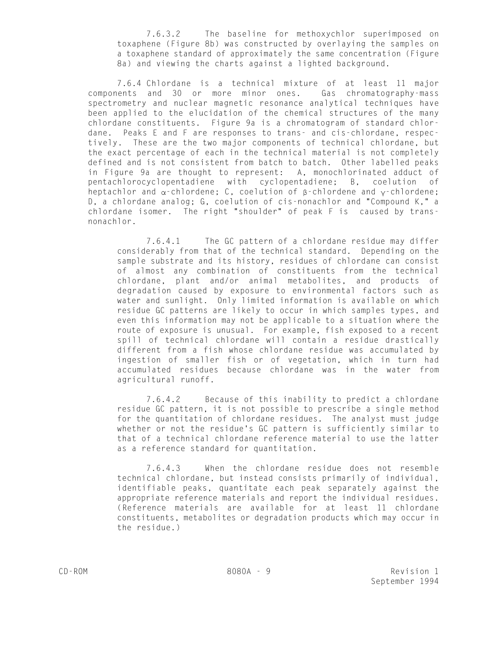7.6.3.2 The baseline for methoxychlor superimposed on toxaphene (Figure 8b) was constructed by overlaying the samples on a toxaphene standard of approximately the same concentration (Figure 8a) and viewing the charts against a lighted background.

7.6.4 Chlordane is a technical mixture of at least 11 major components and 30 or more minor ones. Gas chromatography-mass spectrometry and nuclear magnetic resonance analytical techniques have been applied to the elucidation of the chemical structures of the many chlordane constituents. Figure 9a is a chromatogram of standard chlordane. Peaks E and F are responses to trans- and cis-chlordane, respectively. These are the two major components of technical chlordane, but the exact percentage of each in the technical material is not completely defined and is not consistent from batch to batch. Other labelled peaks in Figure 9a are thought to represent: A, monochlorinated adduct of pentachlorocyclopentadiene with cyclopentadiene; B, coelution of heptachlor and  $\alpha$ -chlordene; C, coelution of  $\beta$ -chlordene and  $\gamma$ -chlordene; D, a chlordane analog; G, coelution of cis-nonachlor and "Compound K," a chlordane isomer. The right "shoulder" of peak F is caused by transnonachlor.

7.6.4.1 The GC pattern of a chlordane residue may differ considerably from that of the technical standard. Depending on the sample substrate and its history, residues of chlordane can consist of almost any combination of constituents from the technical chlordane, plant and/or animal metabolites, and products of degradation caused by exposure to environmental factors such as water and sunlight. Only limited information is available on which residue GC patterns are likely to occur in which samples types, and even this information may not be applicable to a situation where the route of exposure is unusual. For example, fish exposed to a recent spill of technical chlordane will contain a residue drastically different from a fish whose chlordane residue was accumulated by ingestion of smaller fish or of vegetation, which in turn had accumulated residues because chlordane was in the water from agricultural runoff.

7.6.4.2 Because of this inability to predict a chlordane residue GC pattern, it is not possible to prescribe a single method for the quantitation of chlordane residues. The analyst must judge whether or not the residue's GC pattern is sufficiently similar to that of a technical chlordane reference material to use the latter as a reference standard for quantitation.

7.6.4.3 When the chlordane residue does not resemble technical chlordane, but instead consists primarily of individual, identifiable peaks, quantitate each peak separately against the appropriate reference materials and report the individual residues. (Reference materials are available for at least 11 chlordane constituents, metabolites or degradation products which may occur in the residue.)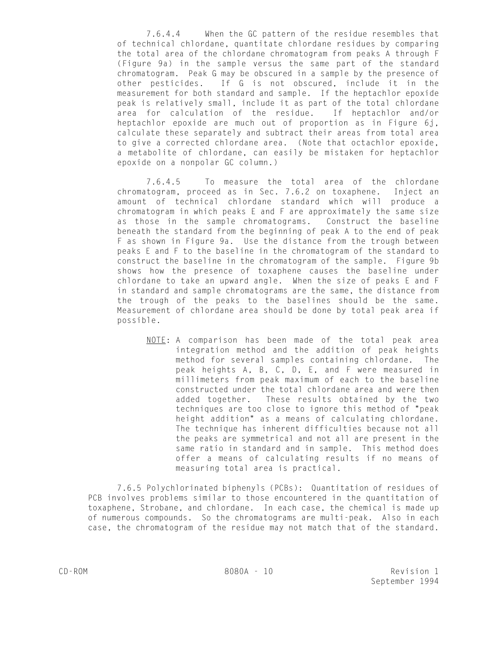7.6.4.4 When the GC pattern of the residue resembles that of technical chlordane, quantitate chlordane residues by comparing the total area of the chlordane chromatogram from peaks A through F (Figure 9a) in the sample versus the same part of the standard chromatogram. Peak G may be obscured in a sample by the presence of other pesticides. If G is not obscured, include it in the measurement for both standard and sample. If the heptachlor epoxide peak is relatively small, include it as part of the total chlordane area for calculation of the residue. If heptachlor and/or heptachlor epoxide are much out of proportion as in Figure 6j, calculate these separately and subtract their areas from total area to give a corrected chlordane area. (Note that octachlor epoxide, a metabolite of chlordane, can easily be mistaken for heptachlor epoxide on a nonpolar GC column.)

7.6.4.5 To measure the total area of the chlordane chromatogram, proceed as in Sec. 7.6.2 on toxaphene. Inject an amount of technical chlordane standard which will produce a chromatogram in which peaks E and F are approximately the same size as those in the sample chromatograms. Construct the baseline beneath the standard from the beginning of peak A to the end of peak F as shown in Figure 9a. Use the distance from the trough between peaks E and F to the baseline in the chromatogram of the standard to construct the baseline in the chromatogram of the sample. Figure 9b shows how the presence of toxaphene causes the baseline under chlordane to take an upward angle. When the size of peaks E and F in standard and sample chromatograms are the same, the distance from the trough of the peaks to the baselines should be the same. Measurement of chlordane area should be done by total peak area if possible.

NOTE: A comparison has been made of the total peak area integration method and the addition of peak heights method for several samples containing chlordane. The peak heights A, B, C, D, E, and F were measured in millimeters from peak maximum of each to the baseline constructed under the total chlordane area and were then added together. These results obtained by the two techniques are too close to ignore this method of "peak height addition" as a means of calculating chlordane. The technique has inherent difficulties because not all the peaks are symmetrical and not all are present in the same ratio in standard and in sample. This method does offer a means of calculating results if no means of measuring total area is practical.

7.6.5 Polychlorinated biphenyls (PCBs): Quantitation of residues of PCB involves problems similar to those encountered in the quantitation of toxaphene, Strobane, and chlordane. In each case, the chemical is made up of numerous compounds. So the chromatograms are multi-peak. Also in each case, the chromatogram of the residue may not match that of the standard.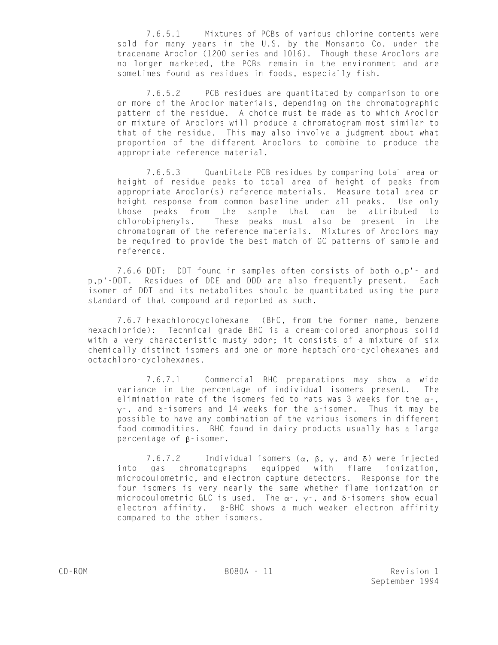7.6.5.1 Mixtures of PCBs of various chlorine contents were sold for many years in the U.S. by the Monsanto Co. under the tradename Aroclor (1200 series and 1016). Though these Aroclors are no longer marketed, the PCBs remain in the environment and are sometimes found as residues in foods, especially fish.

7.6.5.2 PCB residues are quantitated by comparison to one or more of the Aroclor materials, depending on the chromatographic pattern of the residue. A choice must be made as to which Aroclor or mixture of Aroclors will produce a chromatogram most similar to that of the residue. This may also involve a judgment about what proportion of the different Aroclors to combine to produce the appropriate reference material.

7.6.5.3 Quantitate PCB residues by comparing total area or height of residue peaks to total area of height of peaks from appropriate Aroclor(s) reference materials. Measure total area or height response from common baseline under all peaks. Use only those peaks from the sample that can be attributed to chlorobiphenyls. These peaks must also be present in the chromatogram of the reference materials. Mixtures of Aroclors may be required to provide the best match of GC patterns of sample and reference.

7.6.6 DDT: DDT found in samples often consists of both o,p'- and p,p'-DDT. Residues of DDE and DDD are also frequently present. Each isomer of DDT and its metabolites should be quantitated using the pure standard of that compound and reported as such.

7.6.7 Hexachlorocyclohexane (BHC, from the former name, benzene hexachloride): Technical grade BHC is a cream-colored amorphous solid with a very characteristic musty odor; it consists of a mixture of six chemically distinct isomers and one or more heptachloro-cyclohexanes and octachloro-cyclohexanes.

7.6.7.1 Commercial BHC preparations may show a wide variance in the percentage of individual isomers present. The elimination rate of the isomers fed to rats was 3 weeks for the  $\alpha$ -,  $y -$ , and  $\delta$ -isomers and 14 weeks for the  $\beta$ -isomer. Thus it may be possible to have any combination of the various isomers in different food commodities. BHC found in dairy products usually has a large percentage of  $\beta$ -isomer.

7.6.7.2 Individual isomers ( $\alpha$ ,  $\beta$ ,  $\gamma$ , and  $\delta$ ) were injected into gas chromatographs equipped with flame ionization, microcoulometric, and electron capture detectors. Response for the four isomers is very nearly the same whether flame ionization or microcoulometric GLC is used. The  $\alpha$ -,  $\gamma$ -, and  $\delta$ -isomers show equal electron affinity.  $\beta$ -BHC shows a much weaker electron affinity compared to the other isomers.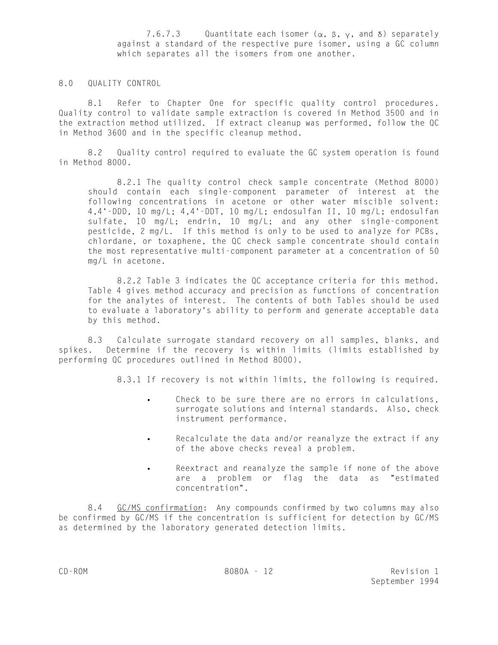7.6.7.3 Quantitate each isomer  $(\alpha, \beta, \gamma, \alpha)$  separately against a standard of the respective pure isomer, using a GC column which separates all the isomers from one another.

## 8.0 QUALITY CONTROL

8.1 Refer to Chapter One for specific quality control procedures. Quality control to validate sample extraction is covered in Method 3500 and in the extraction method utilized. If extract cleanup was performed, follow the QC in Method 3600 and in the specific cleanup method.

8.2 Quality control required to evaluate the GC system operation is found in Method 8000.

8.2.1 The quality control check sample concentrate (Method 8000) should contain each single-component parameter of interest at the following concentrations in acetone or other water miscible solvent: 4,4'-DDD, 10 mg/L; 4,4'-DDT, 10 mg/L; endosulfan II, 10 mg/L; endosulfan sulfate, 10 mg/L; endrin, 10 mg/L; and any other single-component pesticide, 2 mg/L. If this method is only to be used to analyze for PCBs, chlordane, or toxaphene, the QC check sample concentrate should contain the most representative multi-component parameter at a concentration of 50 mg/L in acetone.

8.2.2 Table 3 indicates the QC acceptance criteria for this method. Table 4 gives method accuracy and precision as functions of concentration for the analytes of interest. The contents of both Tables should be used to evaluate a laboratory's ability to perform and generate acceptable data by this method.

8.3 Calculate surrogate standard recovery on all samples, blanks, and spikes. Determine if the recovery is within limits (limits established by performing QC procedures outlined in Method 8000).

8.3.1 If recovery is not within limits, the following is required.

- Check to be sure there are no errors in calculations, surrogate solutions and internal standards. Also, check instrument performance.
- Recalculate the data and/or reanalyze the extract if any of the above checks reveal a problem.
- Reextract and reanalyze the sample if none of the above are a problem or flag the data as "estimated concentration".

8.4 GC/MS confirmation: Any compounds confirmed by two columns may also be confirmed by GC/MS if the concentration is sufficient for detection by GC/MS as determined by the laboratory generated detection limits.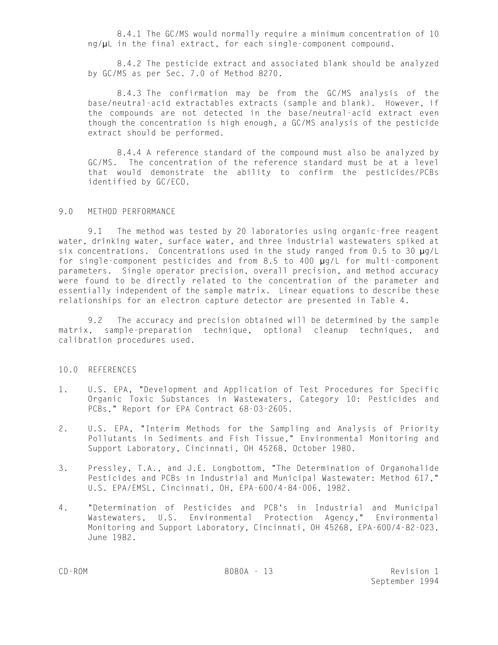8.4.1 The GC/MS would normally require a minimum concentration of 10 ng/µL in the final extract, for each single-component compound.

8.4.2 The pesticide extract and associated blank should be analyzed by GC/MS as per Sec. 7.0 of Method 8270.

8.4.3 The confirmation may be from the GC/MS analysis of the base/neutral-acid extractables extracts (sample and blank). However, if the compounds are not detected in the base/neutral-acid extract even though the concentration is high enough, a GC/MS analysis of the pesticide extract should be performed.

8.4.4 A reference standard of the compound must also be analyzed by GC/MS. The concentration of the reference standard must be at a level that would demonstrate the ability to confirm the pesticides/PCBs identified by GC/ECD.

#### 9.0 METHOD PERFORMANCE

9.1 The method was tested by 20 laboratories using organic-free reagent water, drinking water, surface water, and three industrial wastewaters spiked at six concentrations. Concentrations used in the study ranged from 0.5 to 30  $\mu$ g/L for single-component pesticides and from 8.5 to 400 µg/L for multi-component parameters. Single operator precision, overall precision, and method accuracy were found to be directly related to the concentration of the parameter and essentially independent of the sample matrix. Linear equations to describe these relationships for an electron capture detector are presented in Table 4.

9.2 The accuracy and precision obtained will be determined by the sample matrix, sample-preparation technique, optional cleanup techniques, and calibration procedures used.

### 10.0 REFERENCES

- 1. U.S. EPA, "Development and Application of Test Procedures for Specific Organic Toxic Substances in Wastewaters, Category 10: Pesticides and PCBs," Report for EPA Contract 68-03-2605.
- 2. U.S. EPA, "Interim Methods for the Sampling and Analysis of Priority Pollutants in Sediments and Fish Tissue," Environmental Monitoring and Support Laboratory, Cincinnati, OH 45268, October 1980.
- 3. Pressley, T.A., and J.E. Longbottom, "The Determination of Organohalide Pesticides and PCBs in Industrial and Municipal Wastewater: Method 617," U.S. EPA/EMSL, Cincinnati, OH, EPA-600/4-84-006, 1982.
- 4. "Determination of Pesticides and PCB's in Industrial and Municipal Wastewaters, U.S. Environmental Protection Agency," Environmental Monitoring and Support Laboratory, Cincinnati, OH 45268, EPA-600/4-82-023, June 1982.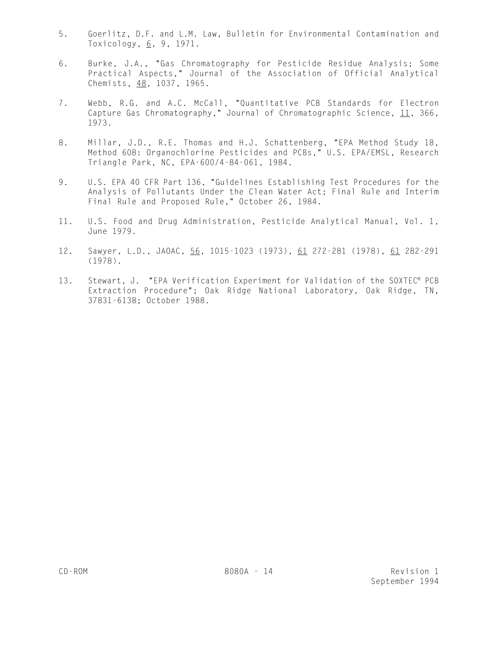- 5. Goerlitz, D.F. and L.M. Law, Bulletin for Environmental Contamination and Toxicology,  $6, 9, 1971.$
- 6. Burke, J.A., "Gas Chromatography for Pesticide Residue Analysis; Some Practical Aspects," Journal of the Association of Official Analytical Chemists, 48, 1037, 1965.
- 7. Webb, R.G. and A.C. McCall, "Quantitative PCB Standards for Electron Capture Gas Chromatography," Journal of Chromatographic Science, 11, 366, 1973.
- 8. Millar, J.D., R.E. Thomas and H.J. Schattenberg, "EPA Method Study 18, Method 608: Organochlorine Pesticides and PCBs," U.S. EPA/EMSL, Research Triangle Park, NC, EPA-600/4-84-061, 1984.
- 9. U.S. EPA 40 CFR Part 136, "Guidelines Establishing Test Procedures for the Analysis of Pollutants Under the Clean Water Act; Final Rule and Interim Final Rule and Proposed Rule," October 26, 1984.
- 11. U.S. Food and Drug Administration, Pesticide Analytical Manual, Vol. 1, June 1979.
- 12. Sawyer, L.D., JAOAC, 56, 1015-1023 (1973), 61 272-281 (1978), 61 282-291 (1978).
- 13. Stewart, J. "EPA Verification Experiment for Validation of the SOXTEC® PCB Extraction Procedure"; Oak Ridge National Laboratory, Oak Ridge, TN, 37831-6138; October 1988.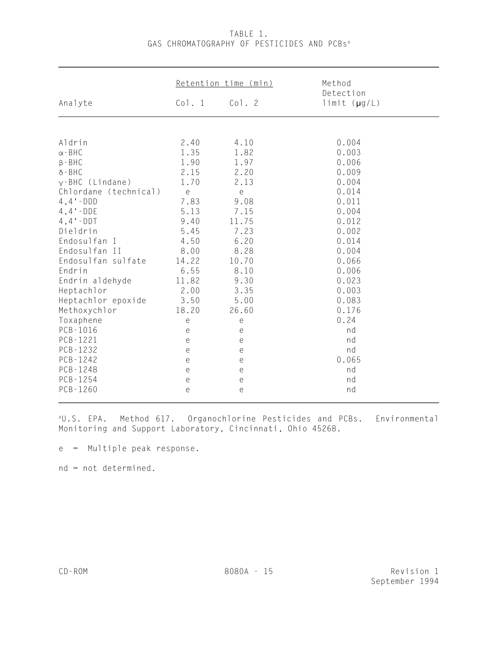|                       | Retention time (min)                        |                       | Method<br>Detection  |
|-----------------------|---------------------------------------------|-----------------------|----------------------|
| Analyte               | Co1.1                                       | Co1.2                 | $limit$ ( $\mu$ g/L) |
|                       |                                             |                       |                      |
| Aldrin                | 2.40                                        | 4.10                  | 0.004                |
| $\alpha$ - BHC        | 1.35                                        | 1.82                  | 0.003                |
| $\beta$ - BHC         | 1.90                                        | 1.97                  | 0.006                |
| $\delta$ -BHC         | 2.15                                        | 2.20                  | 0.009                |
| $v$ -BHC (Lindane)    | 1.70                                        | 2.13                  | 0.004                |
| Chlordane (technical) | $\mathsf{e}% _{t}\left( t_{0},t_{1}\right)$ | e                     | 0.014                |
| $4, 4'$ - DDD         | 7.83                                        | 9.08                  | 0.011                |
| $4, 4 - DDE$          | 5.13                                        | 7.15                  | 0.004                |
| $4, 4 - DDT$          | 9.40                                        | 11.75                 | 0.012                |
| Dieldrin              | 5.45                                        | 7.23                  | 0.002                |
| Endosulfan I          | 4.50                                        | 6.20                  | 0.014                |
| Endosulfan II         | 8.00                                        | 8.28                  | 0.004                |
| Endosulfan sulfate    | 14.22                                       | 10.70                 | 0.066                |
| Endrin                | 6.55                                        | 8.10                  | 0.006                |
| Endrin aldehyde       | 11.82                                       | 9.30                  | 0.023                |
| Heptachlor            | 2.00                                        | 3.35                  | 0.003                |
| Heptachlor epoxide    | 3.50                                        | 5.00                  | 0.083                |
| Methoxychlor          | 18.20                                       | 26.60                 | 0.176                |
| Toxaphene             | e                                           | е                     | 0.24                 |
| PCB-1016              | e                                           | e                     | nd                   |
| $PCB-1221$            | e                                           | $\mathop{\mathrm{e}}$ | nd                   |
| PCB-1232              | e                                           | e                     | nd                   |
| $PCB-1242$            | e                                           | $\overline{e}$        | 0.065                |
| $PCB - 1248$          | e                                           | e                     | nd                   |
| PCB-1254              | e                                           | $\mathop{\mathrm{e}}$ | nd                   |
| $PCB-1260$            | e                                           | e                     | nd                   |

# TABLE 1. GAS CHROMATOGRAPHY OF PESTICIDES AND PCBs<sup>a</sup>

\_\_\_\_\_\_\_\_\_\_\_\_\_\_\_\_\_\_\_\_\_\_\_\_\_\_\_\_\_\_\_\_\_\_\_\_\_\_\_\_\_\_\_\_\_\_\_\_\_\_\_\_\_\_\_\_\_\_\_\_\_\_\_\_\_\_\_\_\_\_\_\_\_\_\_\_\_\_

<sup>a</sup>U.S. EPA. Method 617. Organochlorine Pesticides and PCBs. Environmental Monitoring and Support Laboratory, Cincinnati, Ohio 45268.

e = Multiple peak response.

nd = not determined.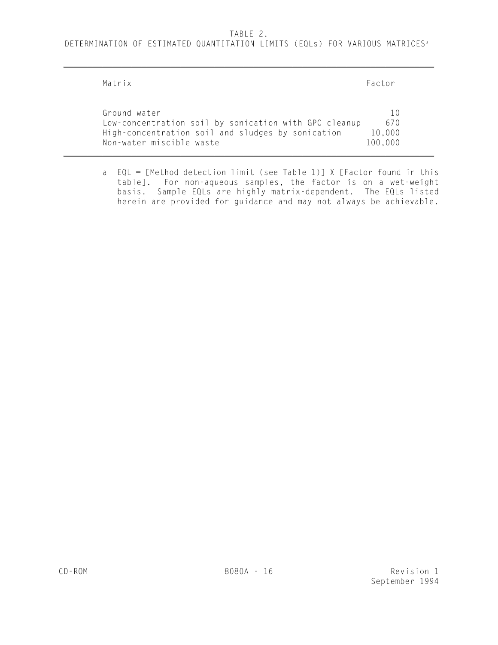#### TABLE 2.

DETERMINATION OF ESTIMATED QUANTITATION LIMITS (EQLs) FOR VARIOUS MATRICES<sup>a</sup>

 $\overline{\phantom{a}}$  , and the contribution of the contribution of the contribution of the contribution of the contribution of the contribution of the contribution of the contribution of the contribution of the contribution of the

| Matrix                                                                                                                                                 | Factor                                                                     |
|--------------------------------------------------------------------------------------------------------------------------------------------------------|----------------------------------------------------------------------------|
| Ground water<br>Low-concentration soil by sonication with GPC cleanup<br>High-concentration soil and sludges by sonication<br>Non-water miscible waste | $\left( \begin{matrix} 1 \end{matrix} \right)$<br>670<br>10,000<br>100,000 |

a EQL = [Method detection limit (see Table 1)] X [Factor found in this table]. For non-aqueous samples, the factor is on a wet-weight basis. Sample EQLs are highly matrix-dependent. The EQLs listed herein are provided for guidance and may not always be achievable.

 $\sim$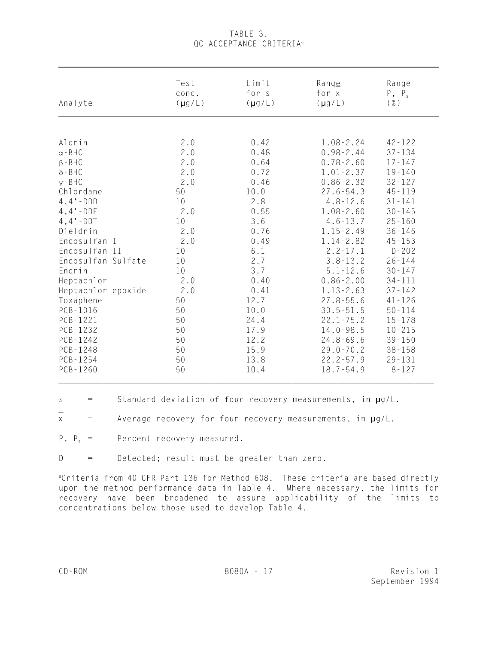# TABLE 3. OC ACCEPTANCE CRITERIA<sup>a</sup>

| Analyte            | Test        | Limit       | Range         | Range      |
|--------------------|-------------|-------------|---------------|------------|
|                    | conc.       | for s       | for x         | $P, P_s$   |
|                    | $(\mu g/L)$ | $(\mu g/L)$ | $(\mu g/L)$   | $(\% )$    |
|                    |             |             |               |            |
| Aldrin             | 2.0         | 0.42        | $1.08 - 2.24$ | $42 - 122$ |
| $\alpha$ - BHC     | 2.0         | 0.48        | $0.98 - 2.44$ | $37 - 134$ |
| $\beta$ - BHC      | 2.0         | 0.64        | $0.78 - 2.60$ | $17 - 147$ |
| $\delta$ -BHC      | $2\,.\,0$   | 0.72        | $1.01 - 2.37$ | $19 - 140$ |
| $Y - BHC$          | 2.0         | 0.46        | $0.86 - 2.32$ | $32 - 127$ |
| Chlordane          | 50          | 10.0        | $27.6 - 54.3$ | $45 - 119$ |
| $4, 4 - DDD$       | 10          | 2.8         | $4.8 - 12.6$  | $31 - 141$ |
| $4, 4 - DDE$       | 2.0         | 0.55        | $1.08 - 2.60$ | $30 - 145$ |
| $4, 4 - DDT$       | 10          | 3.6         | $4.6 - 13.7$  | $25 - 160$ |
| Dieldrin           | 2.0         | 0.76        | $1.15 - 2.49$ | $36 - 146$ |
| Endosulfan I       | 2.0         | 0.49        | $1.14 - 2.82$ | $45 - 153$ |
| Endosulfan II      | 10          | 6.1         | $2.2 - 17.1$  | $D - 202$  |
| Endosulfan Sulfate | 10          | 2.7         | $3.8 - 13.2$  | $26 - 144$ |
| Endrin             | 10          | 3.7         | $5.1 - 12.6$  | $30 - 147$ |
| Heptachlor         | 2.0         | 0.40        | $0.86 - 2.00$ | $34 - 111$ |
| Heptachlor epoxide | 2.0         | 0.41        | $1.13 - 2.63$ | $37 - 142$ |
| Toxaphene          | 50          | 12.7        | $27.8 - 55.6$ | $41 - 126$ |
| $PCB-1016$         | 50          | 10.0        | $30.5 - 51.5$ | $50 - 114$ |
| PCB-1221           | 50          | 24.4        | $22.1 - 75.2$ | $15 - 178$ |
| PCB-1232           | 50          | 17.9        | $14.0 - 98.5$ | $10 - 215$ |
| $PCB-1242$         | 50          | 12.2        | $24.8 - 69.6$ | $39 - 150$ |
| $PCB-1248$         | 50          | 15.9        | $29.0 - 70.2$ | $38 - 158$ |
| $PCB - 1254$       | 50          | 13.8        | $22.2 - 57.9$ | $29 - 131$ |
| PCB-1260           | 50          | 10.4        | $18.7 - 54.9$ | $8 - 127$  |

s  $=$  Standard deviation of four recovery measurements, in  $\mu$ g/L.

 $x =$  Average recovery for four recovery measurements, in  $\mu$ g/L.

 $P$ ,  $P_s$  = Percent recovery measured.

D = Detected; result must be greater than zero.

<sup>a</sup>Criteria from 40 CFR Part 136 for Method 608. These criteria are based directly upon the method performance data in Table 4. Where necessary, the limits for recovery have been broadened to assure applicability of the limits to concentrations below those used to develop Table 4.

\_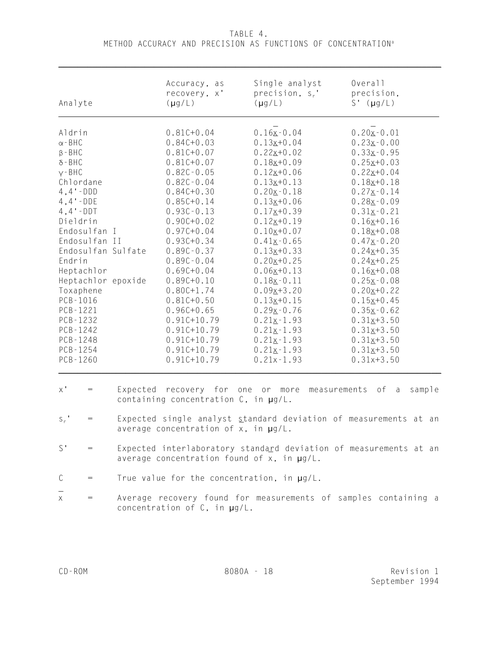TABLE 4. METHOD ACCURACY AND PRECISION AS FUNCTIONS OF CONCENTRATION<sup>a</sup>

| Analyte                                                                                                                                                                                                                                                                                                                                                               | Accuracy, as<br>recovery, x'<br>$(\mu g/L)$                                                                                                                                                                                                                                                                                                                                                                                         | Single analyst<br>precision, $s_r$ .<br>$(\mu g/L)$                                                                                                                                                                                                                                                                                                                                                                                 | Overall<br>precision,<br>$S'$ ( $\mu$ g/L)                                                                                                                                                                                                                                                                                                                                                                                  |
|-----------------------------------------------------------------------------------------------------------------------------------------------------------------------------------------------------------------------------------------------------------------------------------------------------------------------------------------------------------------------|-------------------------------------------------------------------------------------------------------------------------------------------------------------------------------------------------------------------------------------------------------------------------------------------------------------------------------------------------------------------------------------------------------------------------------------|-------------------------------------------------------------------------------------------------------------------------------------------------------------------------------------------------------------------------------------------------------------------------------------------------------------------------------------------------------------------------------------------------------------------------------------|-----------------------------------------------------------------------------------------------------------------------------------------------------------------------------------------------------------------------------------------------------------------------------------------------------------------------------------------------------------------------------------------------------------------------------|
| Aldrin<br>$\alpha$ - BHC<br>$\beta$ - BHC<br>$\delta$ - BHC<br>$Y - BHC$<br>Chlordane<br>$4, 4 - DDD$<br>$4, 4 - DDE$<br>$4, 4 - DDT$<br>Dieldrin<br>Endosulfan I<br>Endosulfan II<br>Endosulfan Sulfate<br>Endrin<br>Heptachlor<br>Heptachlor epoxide<br>Toxaphene<br>PCB-1016<br>PCB-1221<br>$PCB - 1232$<br>$PCB - 1242$<br>PCB-1248<br>$PCB - 1254$<br>$PCB-1260$ | $0.81C+0.04$<br>$0.84C + 0.03$<br>$0.81C+0.07$<br>$0.81C + 0.07$<br>$0.82C - 0.05$<br>$0.82C - 0.04$<br>$0.84C + 0.30$<br>$0.85C + 0.14$<br>$0.93C - 0.13$<br>$0.90C + 0.02$<br>$0.97C + 0.04$<br>$0.93C + 0.34$<br>$0.89C - 0.37$<br>$0.89C - 0.04$<br>$0.69C + 0.04$<br>$0.89C + 0.10$<br>$0.80C + 1.74$<br>$0.81C + 0.50$<br>$0.96C + 0.65$<br>$0.91C+10.79$<br>$0.91C+10.79$<br>$0.91C+10.79$<br>$0.91C+10.79$<br>$0.91C+10.79$ | $0.16x - 0.04$<br>$0.13x+0.04$<br>$0.22x+0.02$<br>$0.18x+0.09$<br>$0.12x+0.06$<br>$0.13x+0.13$<br>$0.20x - 0.18$<br>$0.13x+0.06$<br>$0.17x+0.39$<br>$0.12x+0.19$<br>$0.10x+0.07$<br>$0.41$ $\times$ $-0.65$<br>$0.13x+0.33$<br>$0.20x+0.25$<br>$0.06x+0.13$<br>$0.18x - 0.11$<br>$0.09x + 3.20$<br>$0.13x+0.15$<br>$0.29x - 0.76$<br>$0.21 \times -1.93$<br>$0.21 \times -1.93$<br>$0.21x-1.93$<br>$0.21x - 1.93$<br>$0.21x - 1.93$ | $0.20 \times -0.01$<br>$0.23x - 0.00$<br>$0.33x-0.95$<br>$0.25x+0.03$<br>$0.22x+0.04$<br>$0.18x+0.18$<br>$0.27 \times -0.14$<br>$0.28x - 0.09$<br>$0.31x - 0.21$<br>$0.16x+0.16$<br>$0.18x+0.08$<br>$0.47 \times -0.20$<br>$0.24x+0.35$<br>$0.24x+0.25$<br>$0.16x+0.08$<br>$0.25x - 0.08$<br>$0.20x+0.22$<br>$0.15x+0.45$<br>$0.35x-0.62$<br>$0.31x+3.50$<br>$0.31x+3.50$<br>$0.31x+3.50$<br>$0.31x+3.50$<br>$0.31x + 3.50$ |
| $\mathsf{X}$ '<br>$=$                                                                                                                                                                                                                                                                                                                                                 | containing concentration $C$ , in $\mu g/L$ .                                                                                                                                                                                                                                                                                                                                                                                       | Expected recovery for one or more measurements of a                                                                                                                                                                                                                                                                                                                                                                                 | sample                                                                                                                                                                                                                                                                                                                                                                                                                      |
| $S_r$ '<br>$=$                                                                                                                                                                                                                                                                                                                                                        | Expected single analyst standard deviation of measurements at an<br>average concentration of x, in $\mu$ g/L.                                                                                                                                                                                                                                                                                                                       |                                                                                                                                                                                                                                                                                                                                                                                                                                     |                                                                                                                                                                                                                                                                                                                                                                                                                             |
| $S^{\prime}$                                                                                                                                                                                                                                                                                                                                                          | Expected interlaboratory standard deviation of measurements at an<br>average concentration found of $x$ , in $\mu$ g/L.                                                                                                                                                                                                                                                                                                             |                                                                                                                                                                                                                                                                                                                                                                                                                                     |                                                                                                                                                                                                                                                                                                                                                                                                                             |
| C                                                                                                                                                                                                                                                                                                                                                                     | True value for the concentration, in $\mu g/L$ .                                                                                                                                                                                                                                                                                                                                                                                    |                                                                                                                                                                                                                                                                                                                                                                                                                                     |                                                                                                                                                                                                                                                                                                                                                                                                                             |
|                                                                                                                                                                                                                                                                                                                                                                       |                                                                                                                                                                                                                                                                                                                                                                                                                                     |                                                                                                                                                                                                                                                                                                                                                                                                                                     |                                                                                                                                                                                                                                                                                                                                                                                                                             |

x = Average recovery found for measurements of samples containing a concentration of C, in µg/L.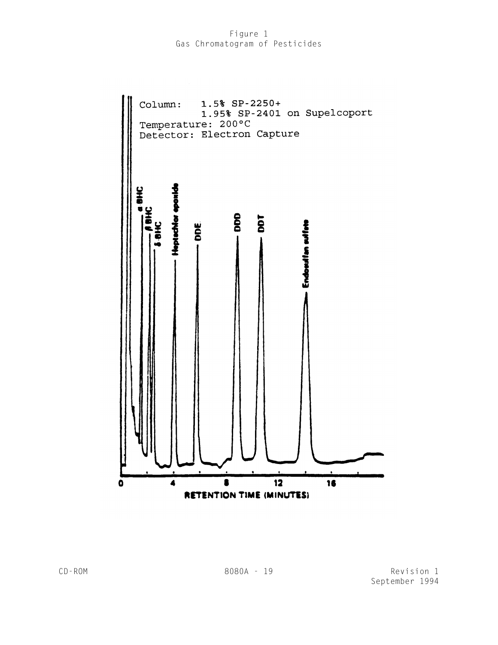## Figure 1 Gas Chromatogram of Pesticides

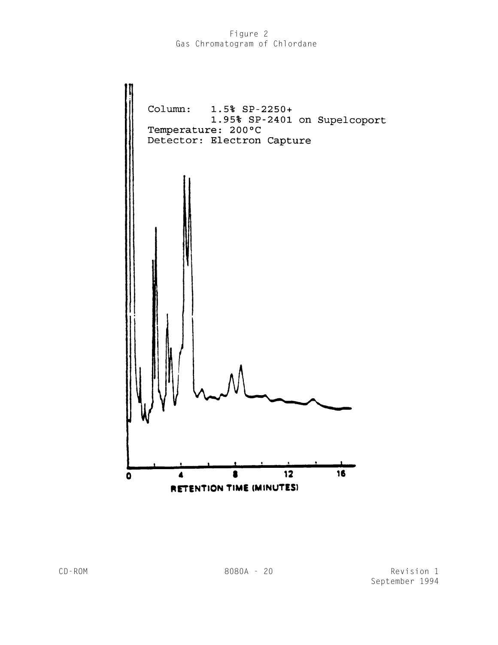# Figure 2 Gas Chromatogram of Chlordane



CD-ROM 8080A - 20 Revision 1 September 1994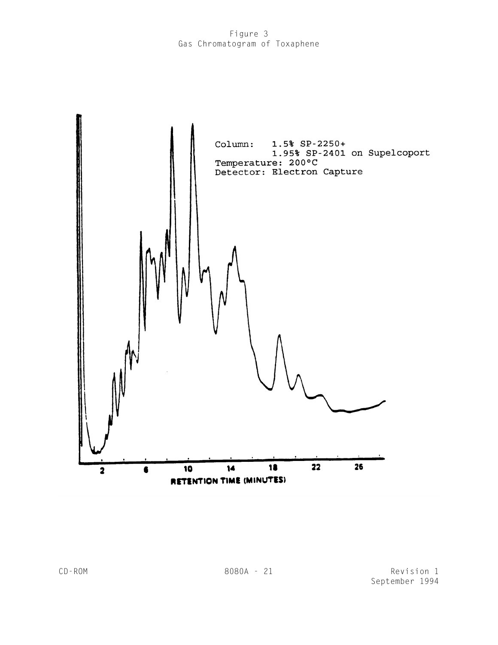# Figure 3 Gas Chromatogram of Toxaphene

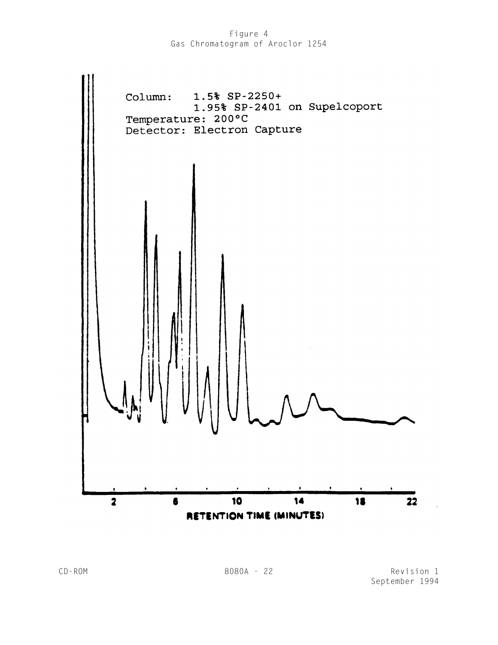Figure 4 Gas Chromatogram of Aroclor 1254



CD-ROM 8080A - 22 Revision 1 September 1994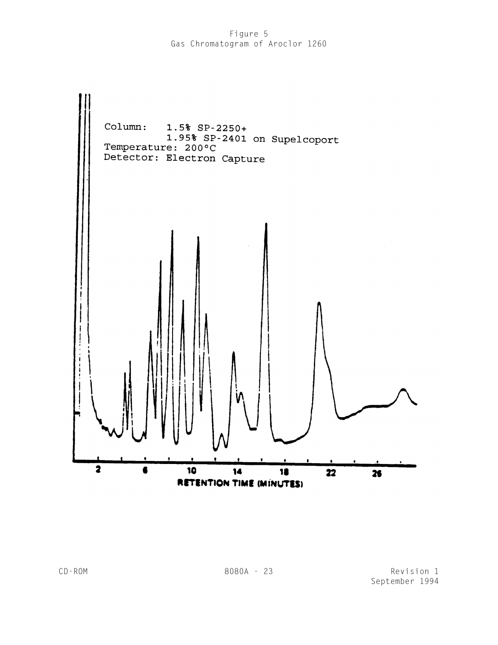# Figure 5 Gas Chromatogram of Aroclor 1260

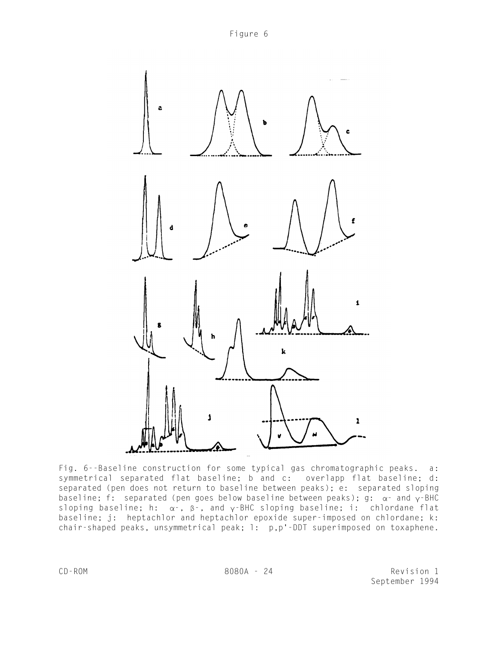



Fig. 6--Baseline construction for some typical gas chromatographic peaks. a: symmetrical separated flat baseline; b and c: overlapp flat baseline; d: separated (pen does not return to baseline between peaks); e: separated sloping baseline; f: separated (pen goes below baseline between peaks);  $q: \alpha$  and  $\gamma$ -BHC sloping baseline; h:  $\alpha$ -,  $\beta$ -, and  $\gamma$ -BHC sloping baseline; i: chlordane flat baseline; j: heptachlor and heptachlor epoxide super-imposed on chlordane; k: chair-shaped peaks, unsymmetrical peak; l: p,p'-DDT superimposed on toxaphene.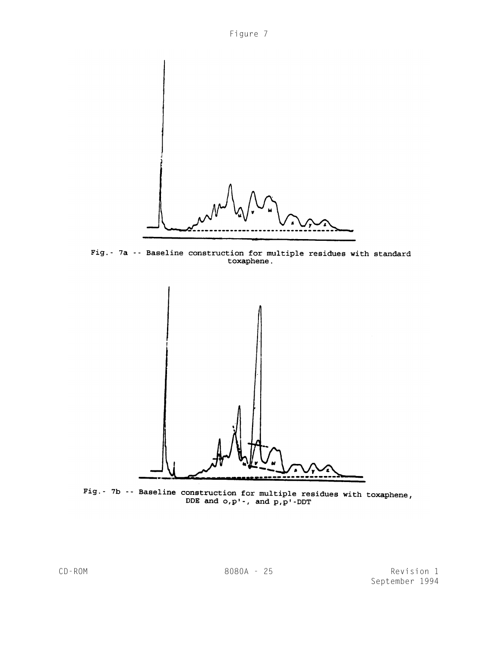



Fig. - 7a - - Baseline construction for multiple residues with standard<br>toxaphene.



Fig.- 7b -- Baseline construction for multiple residues with toxaphene,<br>DDE and  $o, p'$ -, and  $p, p'$ -DDT

CD-ROM 8080A - 25 Revision 1 September 1994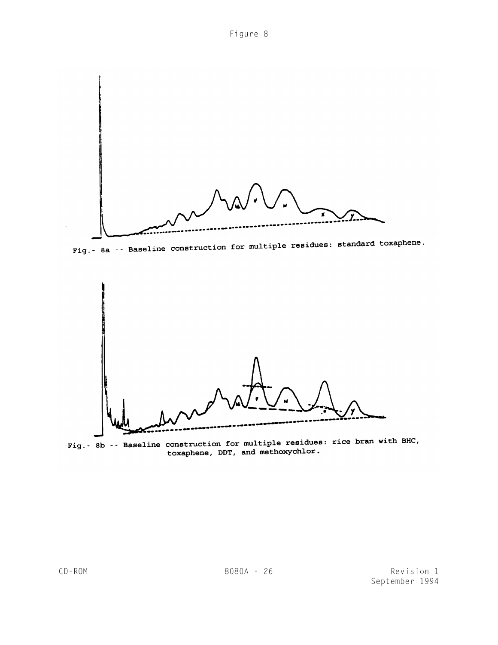

Fig. - 8a -- Baseline construction for multiple residues: standard toxaphene.



Fig. - 8b -- Baseline construction for multiple residues: rice bran with BHC, toxaphene, DDT, and methoxychlor.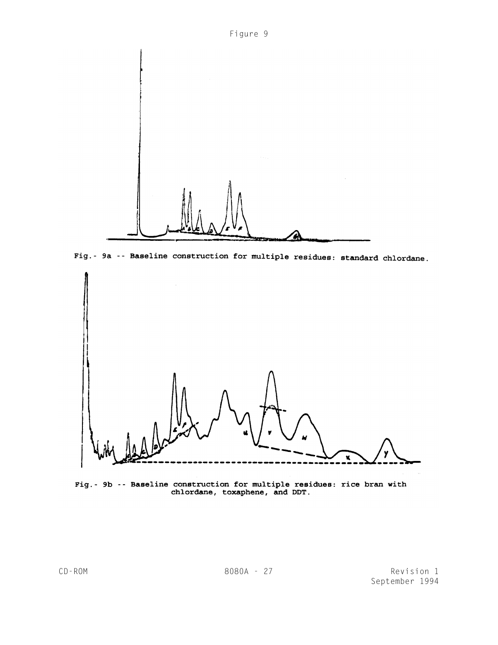

Fig. - 9a -- Baseline construction for multiple residues: standard chlordane.



Fig.- 9b -- Baseline construction for multiple residues: rice bran with<br>chlordane, toxaphene, and DDT.